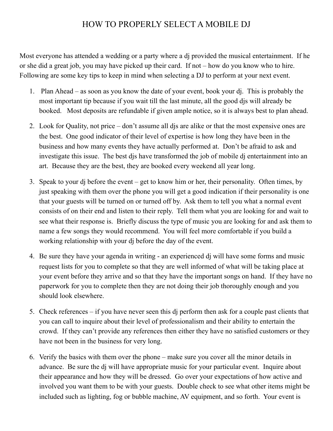## HOW TO PROPERLY SELECT A MOBILE DJ

Most everyone has attended a wedding or a party where a dj provided the musical entertainment. If he or she did a great job, you may have picked up their card. If not – how do you know who to hire. Following are some key tips to keep in mind when selecting a DJ to perform at your next event.

- 1. Plan Ahead as soon as you know the date of your event, book your dj. This is probably the most important tip because if you wait till the last minute, all the good djs will already be booked. Most deposits are refundable if given ample notice, so it is always best to plan ahead.
- 2. Look for Quality, not price don't assume all djs are alike or that the most expensive ones are the best. One good indicator of their level of expertise is how long they have been in the business and how many events they have actually performed at. Don't be afraid to ask and investigate this issue. The best djs have transformed the job of mobile dj entertainment into an art. Because they are the best, they are booked every weekend all year long.
- 3. Speak to your dj before the event get to know him or her, their personality. Often times, by just speaking with them over the phone you will get a good indication if their personality is one that your guests will be turned on or turned off by. Ask them to tell you what a normal event consists of on their end and listen to their reply. Tell them what you are looking for and wait to see what their response is. Briefly discuss the type of music you are looking for and ask them to name a few songs they would recommend. You will feel more comfortable if you build a working relationship with your dj before the day of the event.
- 4. Be sure they have your agenda in writing an experienced dj will have some forms and music request lists for you to complete so that they are well informed of what will be taking place at your event before they arrive and so that they have the important songs on hand. If they have no paperwork for you to complete then they are not doing their job thoroughly enough and you should look elsewhere.
- 5. Check references if you have never seen this dj perform then ask for a couple past clients that you can call to inquire about their level of professionalism and their ability to entertain the crowd. If they can't provide any references then either they have no satisfied customers or they have not been in the business for very long.
- 6. Verify the basics with them over the phone make sure you cover all the minor details in advance. Be sure the dj will have appropriate music for your particular event. Inquire about their appearance and how they will be dressed. Go over your expectations of how active and involved you want them to be with your guests. Double check to see what other items might be included such as lighting, fog or bubble machine, AV equipment, and so forth. Your event is